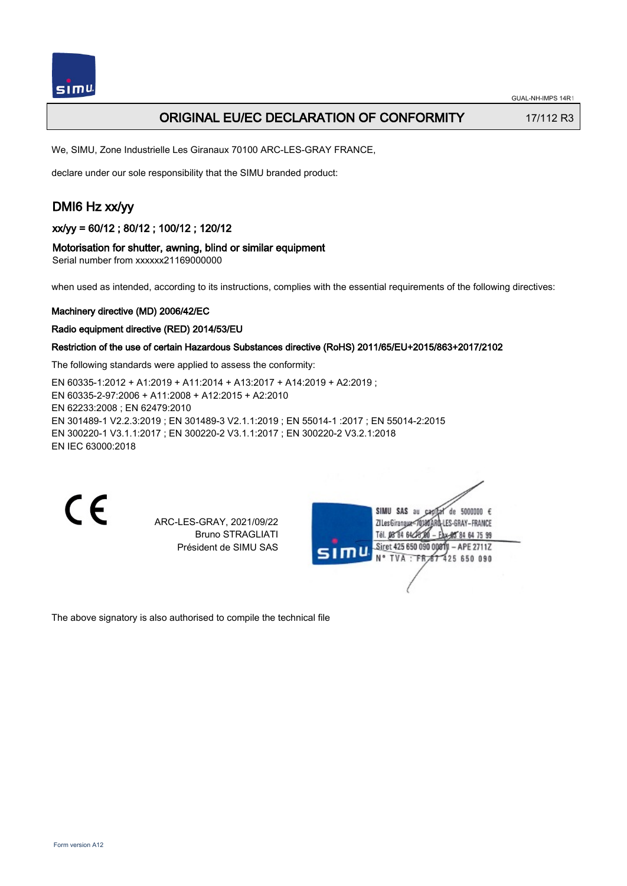## ORIGINAL EU/EC DECLARATION OF CONFORMITY 17/112 R3

We, SIMU, Zone Industrielle Les Giranaux 70100 ARC-LES-GRAY FRANCE,

declare under our sole responsibility that the SIMU branded product:

# DMI6 Hz xx/yy

xx/yy = 60/12 ; 80/12 ; 100/12 ; 120/12

### Motorisation for shutter, awning, blind or similar equipment

Serial number from xxxxxx21169000000

when used as intended, according to its instructions, complies with the essential requirements of the following directives:

### Machinery directive (MD) 2006/42/EC

### Radio equipment directive (RED) 2014/53/EU

### Restriction of the use of certain Hazardous Substances directive (RoHS) 2011/65/EU+2015/863+2017/2102

The following standards were applied to assess the conformity:

EN 60335‑1:2012 + A1:2019 + A11:2014 + A13:2017 + A14:2019 + A2:2019 ; EN 60335‑2‑97:2006 + A11:2008 + A12:2015 + A2:2010 EN 62233:2008 ; EN 62479:2010 EN 301489‑1 V2.2.3:2019 ; EN 301489‑3 V2.1.1:2019 ; EN 55014‑1 :2017 ; EN 55014‑2:2015 EN 300220‑1 V3.1.1:2017 ; EN 300220‑2 V3.1.1:2017 ; EN 300220‑2 V3.2.1:2018 EN IEC 63000:2018

 $\epsilon$ 

ARC-LES-GRAY, 2021/09/22 Bruno STRAGLIATI Président de SIMU SAS

de 5000000  $\epsilon$ **ZILesGiranaug** ES-GRAY-FRANCE THE DR'RA 64/2 85 84 64 75 99 Siret 425 650 090 00811 - APE 2711Z FR 67 425 650 090 **TVA** 

The above signatory is also authorised to compile the technical file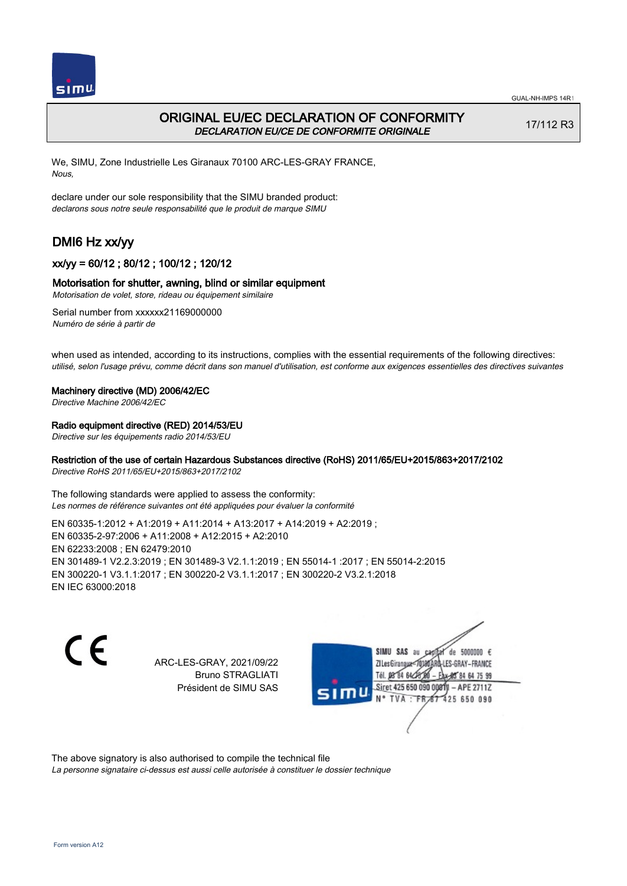

## ORIGINAL EU/EC DECLARATION OF CONFORMITY DECLARATION EU/CE DE CONFORMITE ORIGINALE

17/112 R3

We, SIMU, Zone Industrielle Les Giranaux 70100 ARC-LES-GRAY FRANCE, Nous,

declare under our sole responsibility that the SIMU branded product: declarons sous notre seule responsabilité que le produit de marque SIMU

# DMI6 Hz xx/yy

## xx/yy = 60/12 ; 80/12 ; 100/12 ; 120/12

### Motorisation for shutter, awning, blind or similar equipment

Motorisation de volet, store, rideau ou équipement similaire

Serial number from xxxxxx21169000000 Numéro de série à partir de

when used as intended, according to its instructions, complies with the essential requirements of the following directives: utilisé, selon l'usage prévu, comme décrit dans son manuel d'utilisation, est conforme aux exigences essentielles des directives suivantes

#### Machinery directive (MD) 2006/42/EC

Directive Machine 2006/42/EC

### Radio equipment directive (RED) 2014/53/EU

Directive sur les équipements radio 2014/53/EU

### Restriction of the use of certain Hazardous Substances directive (RoHS) 2011/65/EU+2015/863+2017/2102

Directive RoHS 2011/65/EU+2015/863+2017/2102

The following standards were applied to assess the conformity: Les normes de référence suivantes ont été appliquées pour évaluer la conformité

EN 60335‑1:2012 + A1:2019 + A11:2014 + A13:2017 + A14:2019 + A2:2019 ; EN 60335‑2‑97:2006 + A11:2008 + A12:2015 + A2:2010 EN 62233:2008 ; EN 62479:2010 EN 301489‑1 V2.2.3:2019 ; EN 301489‑3 V2.1.1:2019 ; EN 55014‑1 :2017 ; EN 55014‑2:2015 EN 300220‑1 V3.1.1:2017 ; EN 300220‑2 V3.1.1:2017 ; EN 300220‑2 V3.2.1:2018 EN IEC 63000:2018

 $\epsilon$ 

ARC-LES-GRAY, 2021/09/22 Bruno STRAGLIATI Président de SIMU SAS



The above signatory is also authorised to compile the technical file

La personne signataire ci-dessus est aussi celle autorisée à constituer le dossier technique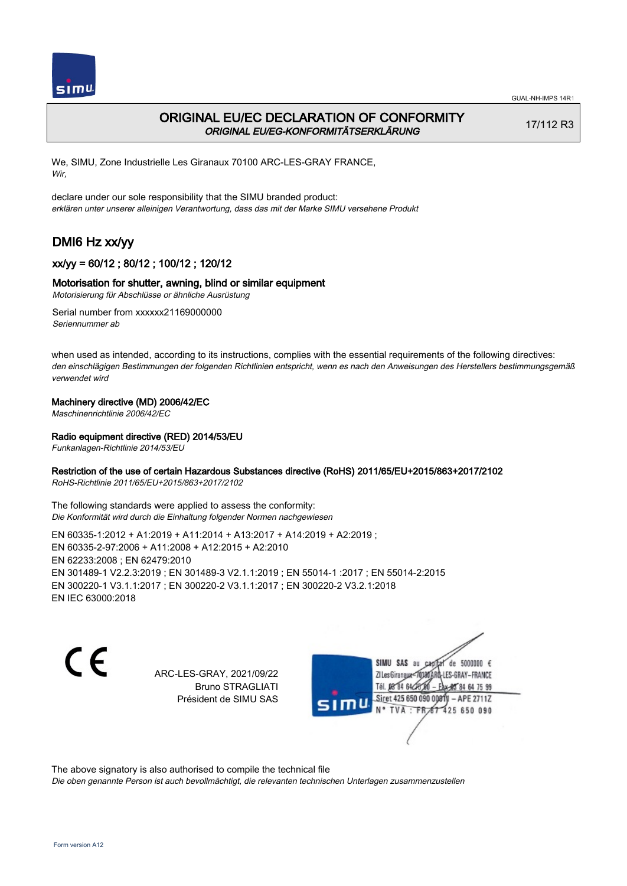

## ORIGINAL EU/EC DECLARATION OF CONFORMITY ORIGINAL EU/EG-KONFORMITÄTSERKLÄRUNG

17/112 R3

We, SIMU, Zone Industrielle Les Giranaux 70100 ARC-LES-GRAY FRANCE, Wir,

declare under our sole responsibility that the SIMU branded product: erklären unter unserer alleinigen Verantwortung, dass das mit der Marke SIMU versehene Produkt

# DMI6 Hz xx/yy

## xx/yy = 60/12 ; 80/12 ; 100/12 ; 120/12

## Motorisation for shutter, awning, blind or similar equipment

Motorisierung für Abschlüsse or ähnliche Ausrüstung

Serial number from xxxxxx21169000000 Seriennummer ab

when used as intended, according to its instructions, complies with the essential requirements of the following directives: den einschlägigen Bestimmungen der folgenden Richtlinien entspricht, wenn es nach den Anweisungen des Herstellers bestimmungsgemäß verwendet wird

## Machinery directive (MD) 2006/42/EC

Maschinenrichtlinie 2006/42/EC

## Radio equipment directive (RED) 2014/53/EU

Funkanlagen-Richtlinie 2014/53/EU

### Restriction of the use of certain Hazardous Substances directive (RoHS) 2011/65/EU+2015/863+2017/2102

RoHS-Richtlinie 2011/65/EU+2015/863+2017/2102

The following standards were applied to assess the conformity: Die Konformität wird durch die Einhaltung folgender Normen nachgewiesen

EN 60335‑1:2012 + A1:2019 + A11:2014 + A13:2017 + A14:2019 + A2:2019 ; EN 60335‑2‑97:2006 + A11:2008 + A12:2015 + A2:2010 EN 62233:2008 ; EN 62479:2010 EN 301489‑1 V2.2.3:2019 ; EN 301489‑3 V2.1.1:2019 ; EN 55014‑1 :2017 ; EN 55014‑2:2015 EN 300220‑1 V3.1.1:2017 ; EN 300220‑2 V3.1.1:2017 ; EN 300220‑2 V3.2.1:2018 EN IEC 63000:2018

C E

ARC-LES-GRAY, 2021/09/22 Bruno STRAGLIATI Président de SIMU SAS

SIMU SAS au de 5000000  $\epsilon$ ZI Les Giranaux-70180 LES-GRAY-FRANCE Tél. 08 84 64 24 64 75 99 Siret 425 650 090 0081) - APE 2711Z 425 650 090 **TVA:FR** 

The above signatory is also authorised to compile the technical file

Die oben genannte Person ist auch bevollmächtigt, die relevanten technischen Unterlagen zusammenzustellen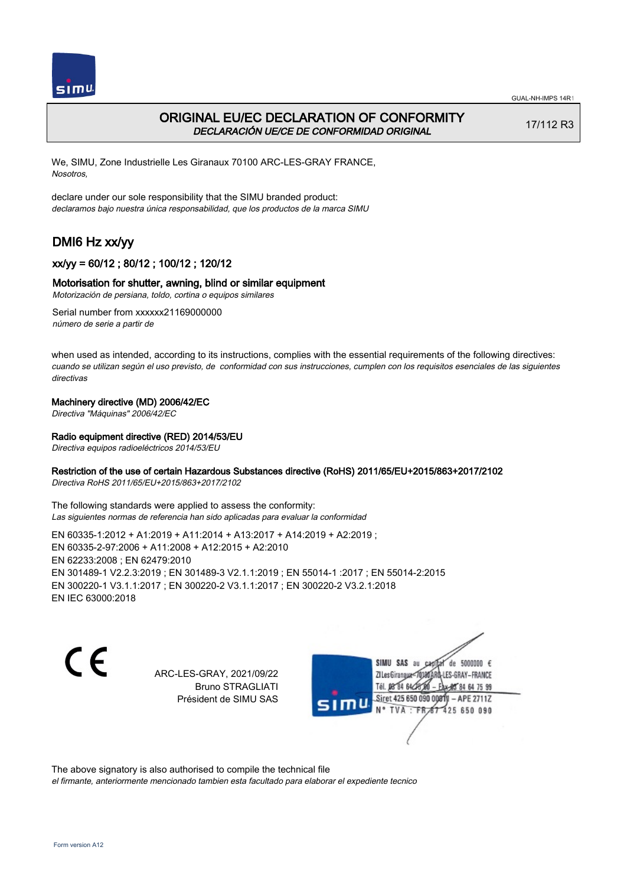



## ORIGINAL EU/EC DECLARATION OF CONFORMITY DECLARACIÓN UE/CE DE CONFORMIDAD ORIGINAL

17/112 R3

We, SIMU, Zone Industrielle Les Giranaux 70100 ARC-LES-GRAY FRANCE, Nosotros,

declare under our sole responsibility that the SIMU branded product: declaramos bajo nuestra única responsabilidad, que los productos de la marca SIMU

# DMI6 Hz xx/yy

## xx/yy = 60/12 ; 80/12 ; 100/12 ; 120/12

### Motorisation for shutter, awning, blind or similar equipment

Motorización de persiana, toldo, cortina o equipos similares

Serial number from xxxxxx21169000000 número de serie a partir de

when used as intended, according to its instructions, complies with the essential requirements of the following directives: cuando se utilizan según el uso previsto, de conformidad con sus instrucciones, cumplen con los requisitos esenciales de las siguientes directivas

### Machinery directive (MD) 2006/42/EC

Directiva "Máquinas" 2006/42/EC

### Radio equipment directive (RED) 2014/53/EU

Directiva equipos radioeléctricos 2014/53/EU

### Restriction of the use of certain Hazardous Substances directive (RoHS) 2011/65/EU+2015/863+2017/2102

Directiva RoHS 2011/65/EU+2015/863+2017/2102

The following standards were applied to assess the conformity: Las siguientes normas de referencia han sido aplicadas para evaluar la conformidad

EN 60335‑1:2012 + A1:2019 + A11:2014 + A13:2017 + A14:2019 + A2:2019 ; EN 60335‑2‑97:2006 + A11:2008 + A12:2015 + A2:2010 EN 62233:2008 ; EN 62479:2010 EN 301489‑1 V2.2.3:2019 ; EN 301489‑3 V2.1.1:2019 ; EN 55014‑1 :2017 ; EN 55014‑2:2015 EN 300220‑1 V3.1.1:2017 ; EN 300220‑2 V3.1.1:2017 ; EN 300220‑2 V3.2.1:2018 EN IEC 63000:2018

C E

ARC-LES-GRAY, 2021/09/22 Bruno STRAGLIATI Président de SIMU SAS

SIMU SAS au de 5000000  $\epsilon$ ZI Les Girangux 10180 LES-GRAY-FRANCE Tél. 08 84 64 24 64 75 99 Siret 425 650 090 008TV - APE 2711Z 425 650 090 TVA: FR

The above signatory is also authorised to compile the technical file

el firmante, anteriormente mencionado tambien esta facultado para elaborar el expediente tecnico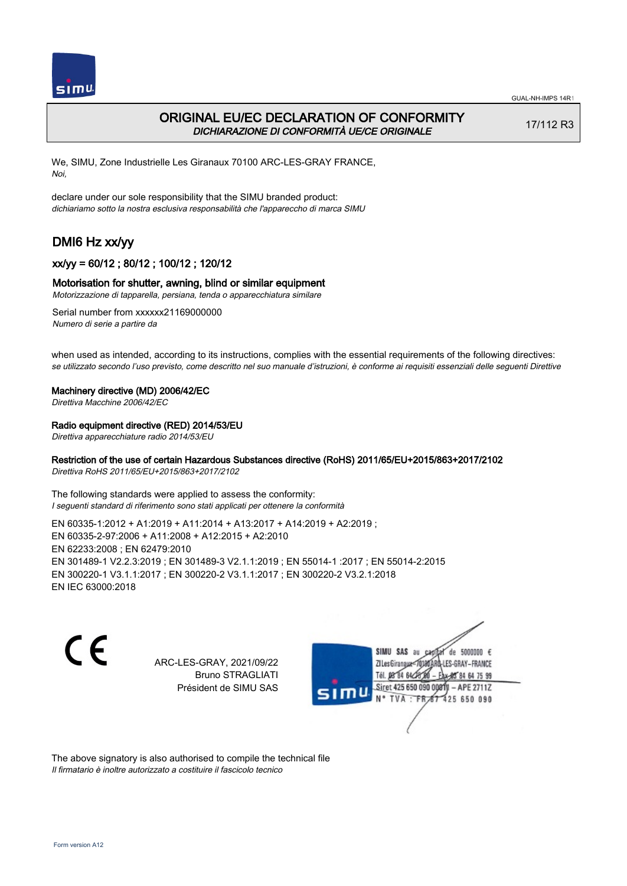

## ORIGINAL EU/EC DECLARATION OF CONFORMITY DICHIARAZIONE DI CONFORMITÀ UE/CE ORIGINALE

17/112 R3

We, SIMU, Zone Industrielle Les Giranaux 70100 ARC-LES-GRAY FRANCE, Noi,

declare under our sole responsibility that the SIMU branded product: dichiariamo sotto la nostra esclusiva responsabilità che l'appareccho di marca SIMU

# DMI6 Hz xx/yy

## xx/yy = 60/12 ; 80/12 ; 100/12 ; 120/12

### Motorisation for shutter, awning, blind or similar equipment

Motorizzazione di tapparella, persiana, tenda o apparecchiatura similare

Serial number from xxxxxx21169000000 Numero di serie a partire da

when used as intended, according to its instructions, complies with the essential requirements of the following directives: se utilizzato secondo l'uso previsto, come descritto nel suo manuale d'istruzioni, è conforme ai requisiti essenziali delle seguenti Direttive

#### Machinery directive (MD) 2006/42/EC

Direttiva Macchine 2006/42/EC

### Radio equipment directive (RED) 2014/53/EU

Direttiva apparecchiature radio 2014/53/EU

## Restriction of the use of certain Hazardous Substances directive (RoHS) 2011/65/EU+2015/863+2017/2102

Direttiva RoHS 2011/65/EU+2015/863+2017/2102

The following standards were applied to assess the conformity: I seguenti standard di riferimento sono stati applicati per ottenere la conformità

EN 60335‑1:2012 + A1:2019 + A11:2014 + A13:2017 + A14:2019 + A2:2019 ; EN 60335‑2‑97:2006 + A11:2008 + A12:2015 + A2:2010 EN 62233:2008 ; EN 62479:2010 EN 301489‑1 V2.2.3:2019 ; EN 301489‑3 V2.1.1:2019 ; EN 55014‑1 :2017 ; EN 55014‑2:2015 EN 300220‑1 V3.1.1:2017 ; EN 300220‑2 V3.1.1:2017 ; EN 300220‑2 V3.2.1:2018 EN IEC 63000:2018

 $\epsilon$ 

ARC-LES-GRAY, 2021/09/22 Bruno STRAGLIATI Président de SIMU SAS



The above signatory is also authorised to compile the technical file Il firmatario è inoltre autorizzato a costituire il fascicolo tecnico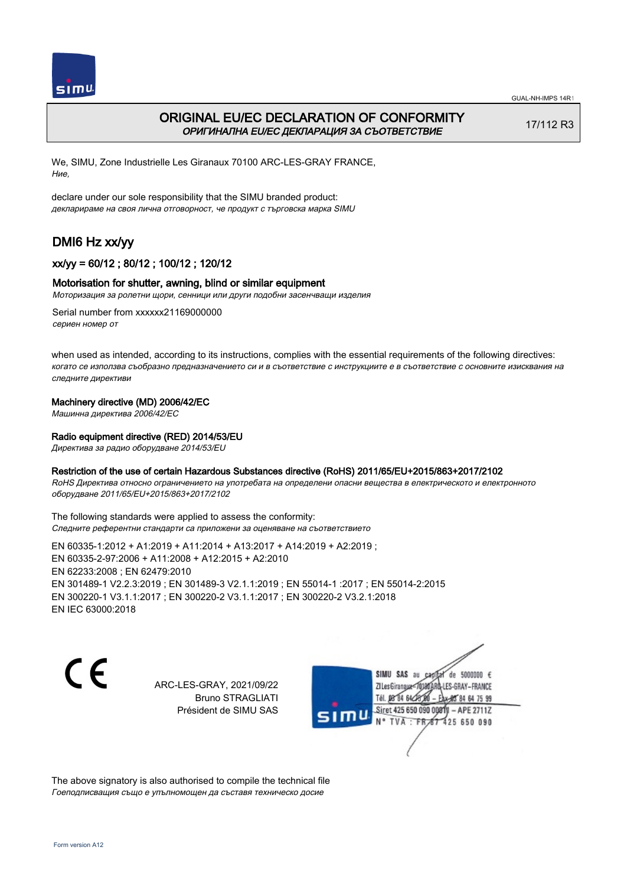



## ORIGINAL EU/EC DECLARATION OF CONFORMITY ОРИГИНАЛНА EU/EC ДЕКЛАРАЦИЯ ЗА СЪОТВЕТСТВИЕ

17/112 R3

GUAL-NH-IMPS 14R1

We, SIMU, Zone Industrielle Les Giranaux 70100 ARC-LES-GRAY FRANCE, Ние,

declare under our sole responsibility that the SIMU branded product: декларираме на своя лична отговорност, че продукт с търговска марка SIMU

# DMI6 Hz xx/yy

## xx/yy = 60/12 ; 80/12 ; 100/12 ; 120/12

### Motorisation for shutter, awning, blind or similar equipment

Моторизация за ролетни щори, сенници или други подобни засенчващи изделия

Serial number from xxxxxx21169000000 сериен номер от

when used as intended, according to its instructions, complies with the essential requirements of the following directives: когато се използва съобразно предназначението си и в съответствие с инструкциите е в съответствие с основните изисквания на следните директиви

### Machinery directive (MD) 2006/42/EC

Машинна директива 2006/42/EC

### Radio equipment directive (RED) 2014/53/EU

Директива за радио оборудване 2014/53/EU

### Restriction of the use of certain Hazardous Substances directive (RoHS) 2011/65/EU+2015/863+2017/2102

RoHS Директива относно ограничението на употребата на определени опасни вещества в електрическото и електронното оборудване 2011/65/EU+2015/863+2017/2102

The following standards were applied to assess the conformity: Следните референтни стандарти са приложени за оценяване на съответствието

EN 60335‑1:2012 + A1:2019 + A11:2014 + A13:2017 + A14:2019 + A2:2019 ; EN 60335‑2‑97:2006 + A11:2008 + A12:2015 + A2:2010 EN 62233:2008 ; EN 62479:2010 EN 301489‑1 V2.2.3:2019 ; EN 301489‑3 V2.1.1:2019 ; EN 55014‑1 :2017 ; EN 55014‑2:2015 EN 300220‑1 V3.1.1:2017 ; EN 300220‑2 V3.1.1:2017 ; EN 300220‑2 V3.2.1:2018 EN IEC 63000:2018

C E

ARC-LES-GRAY, 2021/09/22 Bruno STRAGLIATI Président de SIMU SAS



The above signatory is also authorised to compile the technical file Гоеподписващия също е упълномощен да съставя техническо досие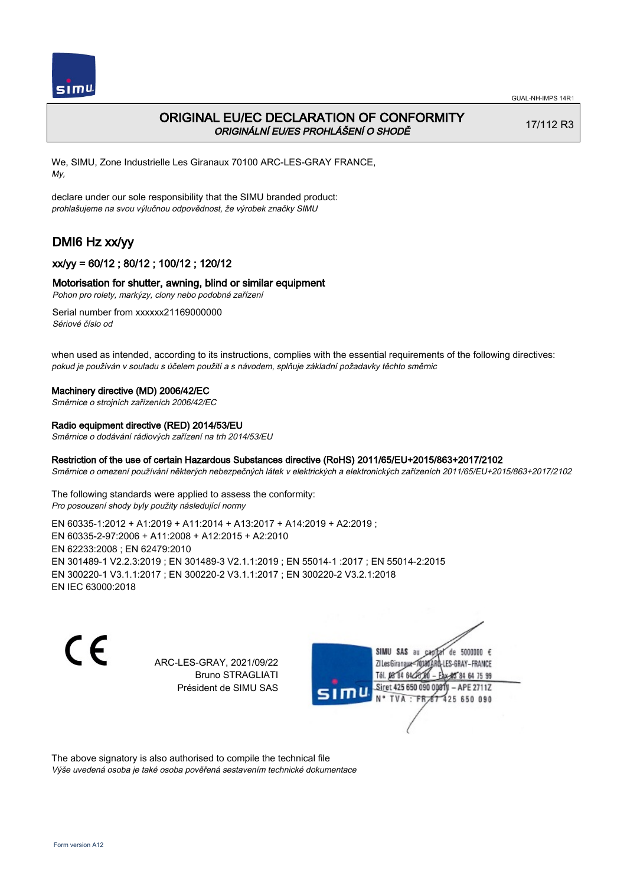

## ORIGINAL EU/EC DECLARATION OF CONFORMITY ORIGINÁLNÍ EU/ES PROHLÁŠENÍ O SHODĚ

17/112 R3

We, SIMU, Zone Industrielle Les Giranaux 70100 ARC-LES-GRAY FRANCE, My,

declare under our sole responsibility that the SIMU branded product: prohlašujeme na svou výlučnou odpovědnost, že výrobek značky SIMU

# DMI6 Hz xx/yy

## xx/yy = 60/12 ; 80/12 ; 100/12 ; 120/12

### Motorisation for shutter, awning, blind or similar equipment

Pohon pro rolety, markýzy, clony nebo podobná zařízení

Serial number from xxxxxx21169000000 Sériové číslo od

when used as intended, according to its instructions, complies with the essential requirements of the following directives: pokud je používán v souladu s účelem použití a s návodem, splňuje základní požadavky těchto směrnic

#### Machinery directive (MD) 2006/42/EC

Směrnice o strojních zařízeních 2006/42/EC

#### Radio equipment directive (RED) 2014/53/EU

Směrnice o dodávání rádiových zařízení na trh 2014/53/EU

#### Restriction of the use of certain Hazardous Substances directive (RoHS) 2011/65/EU+2015/863+2017/2102

Směrnice o omezení používání některých nebezpečných látek v elektrických a elektronických zařízeních 2011/65/EU+2015/863+2017/2102

The following standards were applied to assess the conformity: Pro posouzení shody byly použity následující normy

EN 60335‑1:2012 + A1:2019 + A11:2014 + A13:2017 + A14:2019 + A2:2019 ; EN 60335‑2‑97:2006 + A11:2008 + A12:2015 + A2:2010 EN 62233:2008 ; EN 62479:2010 EN 301489‑1 V2.2.3:2019 ; EN 301489‑3 V2.1.1:2019 ; EN 55014‑1 :2017 ; EN 55014‑2:2015 EN 300220‑1 V3.1.1:2017 ; EN 300220‑2 V3.1.1:2017 ; EN 300220‑2 V3.2.1:2018 EN IEC 63000:2018

 $\epsilon$ 

ARC-LES-GRAY, 2021/09/22 Bruno STRAGLIATI Président de SIMU SAS



The above signatory is also authorised to compile the technical file Výše uvedená osoba je také osoba pověřená sestavením technické dokumentace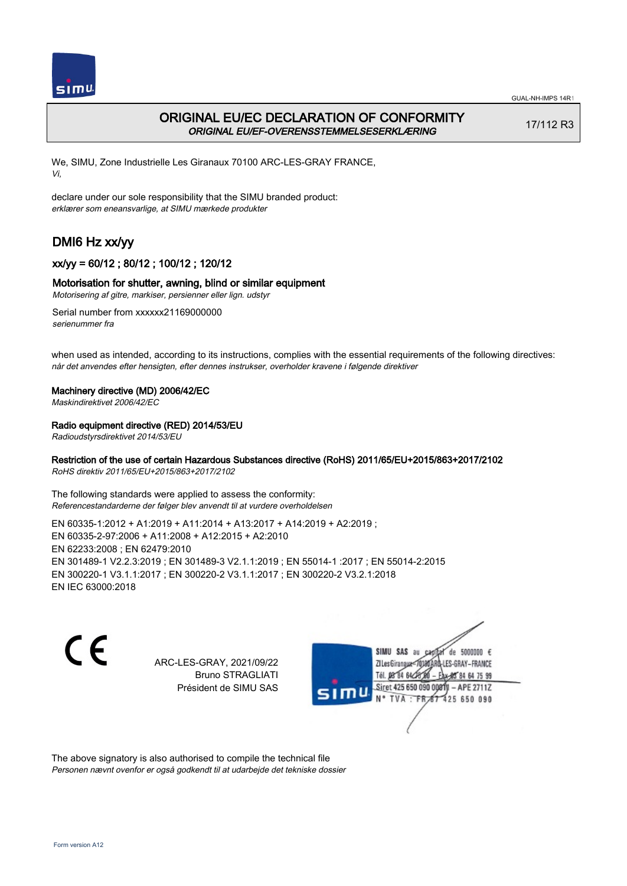

## ORIGINAL EU/EC DECLARATION OF CONFORMITY ORIGINAL EU/EF-OVERENSSTEMMELSESERKLÆRING

17/112 R3

We, SIMU, Zone Industrielle Les Giranaux 70100 ARC-LES-GRAY FRANCE, Vi,

declare under our sole responsibility that the SIMU branded product: erklærer som eneansvarlige, at SIMU mærkede produkter

# DMI6 Hz xx/yy

## xx/yy = 60/12 ; 80/12 ; 100/12 ; 120/12

### Motorisation for shutter, awning, blind or similar equipment

Motorisering af gitre, markiser, persienner eller lign. udstyr

Serial number from xxxxxx21169000000 serienummer fra

when used as intended, according to its instructions, complies with the essential requirements of the following directives: når det anvendes efter hensigten, efter dennes instrukser, overholder kravene i følgende direktiver

### Machinery directive (MD) 2006/42/EC

Maskindirektivet 2006/42/EC

### Radio equipment directive (RED) 2014/53/EU

Radioudstyrsdirektivet 2014/53/EU

## Restriction of the use of certain Hazardous Substances directive (RoHS) 2011/65/EU+2015/863+2017/2102

RoHS direktiv 2011/65/EU+2015/863+2017/2102

The following standards were applied to assess the conformity: Referencestandarderne der følger blev anvendt til at vurdere overholdelsen

EN 60335‑1:2012 + A1:2019 + A11:2014 + A13:2017 + A14:2019 + A2:2019 ; EN 60335‑2‑97:2006 + A11:2008 + A12:2015 + A2:2010 EN 62233:2008 ; EN 62479:2010 EN 301489‑1 V2.2.3:2019 ; EN 301489‑3 V2.1.1:2019 ; EN 55014‑1 :2017 ; EN 55014‑2:2015 EN 300220‑1 V3.1.1:2017 ; EN 300220‑2 V3.1.1:2017 ; EN 300220‑2 V3.2.1:2018 EN IEC 63000:2018

 $\epsilon$ 

ARC-LES-GRAY, 2021/09/22 Bruno STRAGLIATI Président de SIMU SAS



The above signatory is also authorised to compile the technical file Personen nævnt ovenfor er også godkendt til at udarbejde det tekniske dossier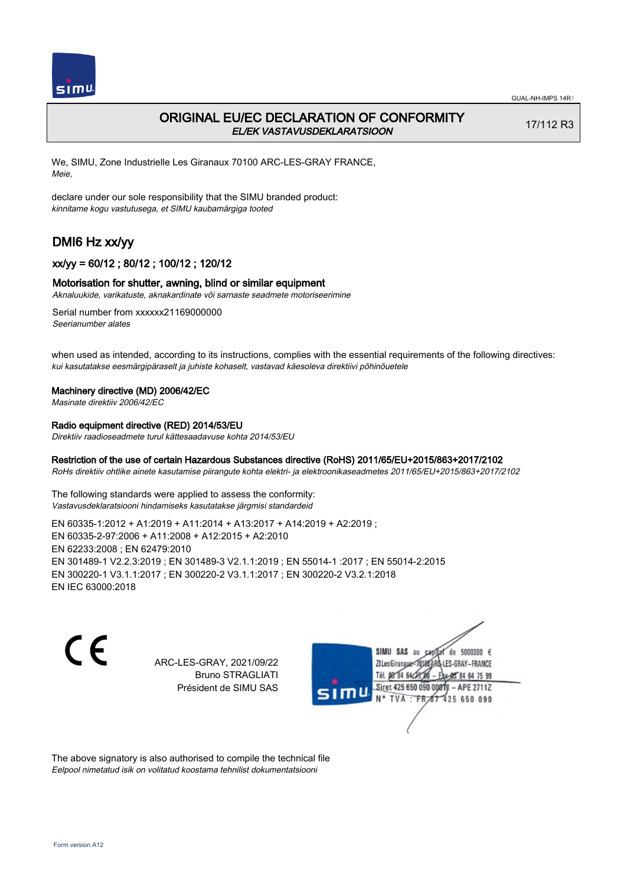

## ORIGINAL EU/EC DECLARATION OF CONFORMITY EL/EK VASTAVUSDEKLARATSIOON

17/112 R3

We, SIMU, Zone Industrielle Les Giranaux 70100 ARC-LES-GRAY FRANCE, Meie,

declare under our sole responsibility that the SIMU branded product: kinnitame kogu vastutusega, et SIMU kaubamärgiga tooted

# DMI6 Hz xx/yy

## xx/yy = 60/12 ; 80/12 ; 100/12 ; 120/12

### Motorisation for shutter, awning, blind or similar equipment

Aknaluukide, varikatuste, aknakardinate või sarnaste seadmete motoriseerimine

Serial number from xxxxxx21169000000 Seerianumber alates

when used as intended, according to its instructions, complies with the essential requirements of the following directives: kui kasutatakse eesmärgipäraselt ja juhiste kohaselt, vastavad käesoleva direktiivi põhinõuetele

#### Machinery directive (MD) 2006/42/EC

Masinate direktiiv 2006/42/EC

## Radio equipment directive (RED) 2014/53/EU

Direktiiv raadioseadmete turul kättesaadavuse kohta 2014/53/EU

### Restriction of the use of certain Hazardous Substances directive (RoHS) 2011/65/EU+2015/863+2017/2102

RoHs direktiiv ohtlike ainete kasutamise piirangute kohta elektri- ja elektroonikaseadmetes 2011/65/EU+2015/863+2017/2102

The following standards were applied to assess the conformity: Vastavusdeklaratsiooni hindamiseks kasutatakse järgmisi standardeid

EN 60335‑1:2012 + A1:2019 + A11:2014 + A13:2017 + A14:2019 + A2:2019 ; EN 60335‑2‑97:2006 + A11:2008 + A12:2015 + A2:2010 EN 62233:2008 ; EN 62479:2010 EN 301489‑1 V2.2.3:2019 ; EN 301489‑3 V2.1.1:2019 ; EN 55014‑1 :2017 ; EN 55014‑2:2015 EN 300220‑1 V3.1.1:2017 ; EN 300220‑2 V3.1.1:2017 ; EN 300220‑2 V3.2.1:2018 EN IEC 63000:2018

 $\epsilon$ 

ARC-LES-GRAY, 2021/09/22 Bruno STRAGLIATI Président de SIMU SAS



The above signatory is also authorised to compile the technical file Eelpool nimetatud isik on volitatud koostama tehnilist dokumentatsiooni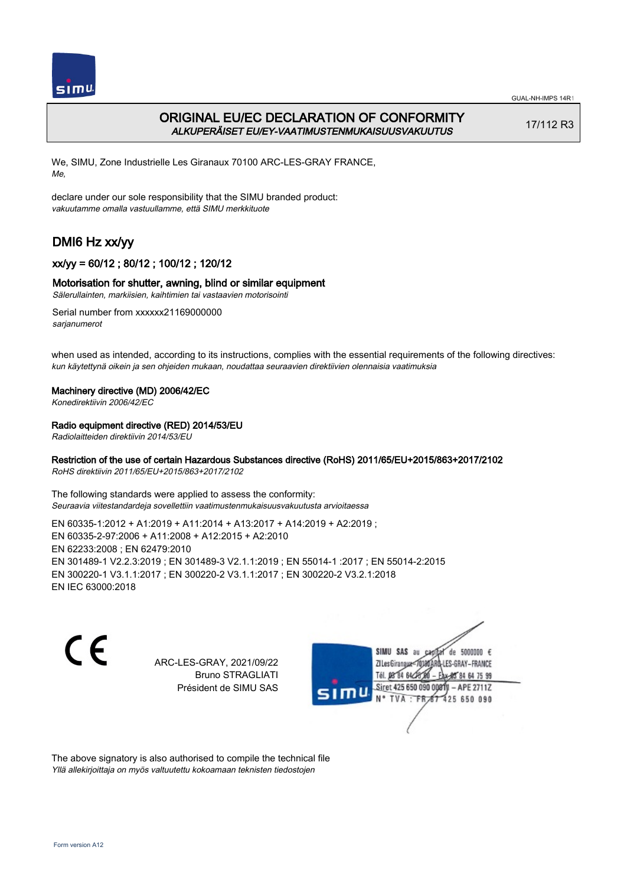

## ORIGINAL EU/EC DECLARATION OF CONFORMITY ALKUPERÄISET EU/EY-VAATIMUSTENMUKAISUUSVAKUUTUS

17/112 R3

We, SIMU, Zone Industrielle Les Giranaux 70100 ARC-LES-GRAY FRANCE, Me,

declare under our sole responsibility that the SIMU branded product: vakuutamme omalla vastuullamme, että SIMU merkkituote

# DMI6 Hz xx/yy

## xx/yy = 60/12 ; 80/12 ; 100/12 ; 120/12

### Motorisation for shutter, awning, blind or similar equipment

Sälerullainten, markiisien, kaihtimien tai vastaavien motorisointi

Serial number from xxxxxx21169000000 sarjanumerot

when used as intended, according to its instructions, complies with the essential requirements of the following directives: kun käytettynä oikein ja sen ohjeiden mukaan, noudattaa seuraavien direktiivien olennaisia vaatimuksia

### Machinery directive (MD) 2006/42/EC

Konedirektiivin 2006/42/EC

### Radio equipment directive (RED) 2014/53/EU

Radiolaitteiden direktiivin 2014/53/EU

## Restriction of the use of certain Hazardous Substances directive (RoHS) 2011/65/EU+2015/863+2017/2102

RoHS direktiivin 2011/65/EU+2015/863+2017/2102

The following standards were applied to assess the conformity: Seuraavia viitestandardeja sovellettiin vaatimustenmukaisuusvakuutusta arvioitaessa

EN 60335‑1:2012 + A1:2019 + A11:2014 + A13:2017 + A14:2019 + A2:2019 ; EN 60335‑2‑97:2006 + A11:2008 + A12:2015 + A2:2010 EN 62233:2008 ; EN 62479:2010 EN 301489‑1 V2.2.3:2019 ; EN 301489‑3 V2.1.1:2019 ; EN 55014‑1 :2017 ; EN 55014‑2:2015 EN 300220‑1 V3.1.1:2017 ; EN 300220‑2 V3.1.1:2017 ; EN 300220‑2 V3.2.1:2018 EN IEC 63000:2018

 $\epsilon$ 

ARC-LES-GRAY, 2021/09/22 Bruno STRAGLIATI Président de SIMU SAS



The above signatory is also authorised to compile the technical file Yllä allekirjoittaja on myös valtuutettu kokoamaan teknisten tiedostojen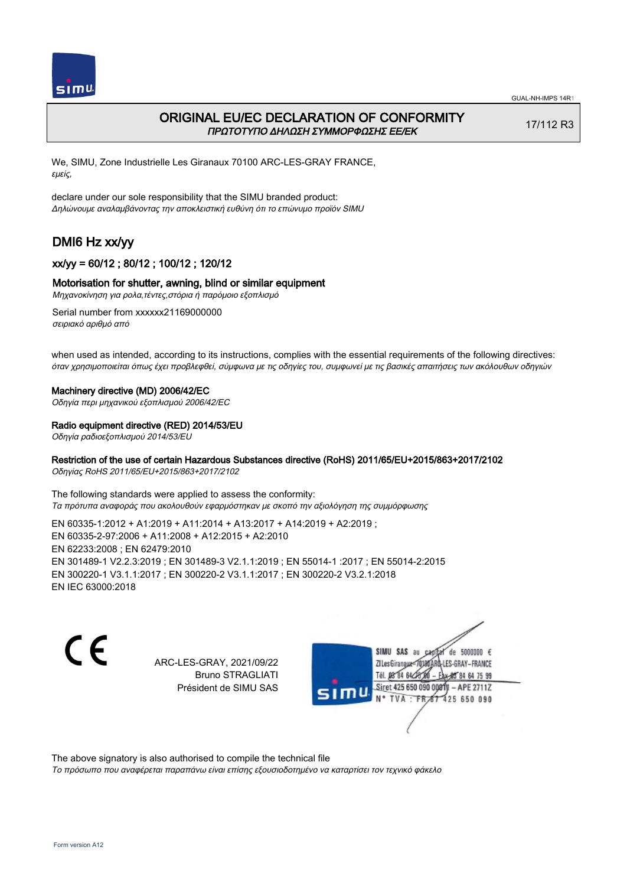

## ORIGINAL EU/EC DECLARATION OF CONFORMITY ΠΡΩΤΟΤΥΠΟ ΔΗΛΩΣΗ ΣΥΜΜΟΡΦΩΣΗΣ ΕΕ/EK

17/112 R3

We, SIMU, Zone Industrielle Les Giranaux 70100 ARC-LES-GRAY FRANCE, εμείς,

declare under our sole responsibility that the SIMU branded product: Δηλώνουμε αναλαμβάνοντας την αποκλειστική ευθύνη ότι το επώνυμο προϊόν SIMU

# DMI6 Hz xx/yy

## xx/yy = 60/12 ; 80/12 ; 100/12 ; 120/12

### Motorisation for shutter, awning, blind or similar equipment

Μηχανοκίνηση για ρολα,τέντες,στόρια ή παρόμοιο εξοπλισμό

Serial number from xxxxxx21169000000 σειριακό αριθμό από

when used as intended, according to its instructions, complies with the essential requirements of the following directives: όταν χρησιμοποιείται όπως έχει προβλεφθεί, σύμφωνα με τις οδηγίες του, συμφωνεί με τις βασικές απαιτήσεις των ακόλουθων οδηγιών

#### Machinery directive (MD) 2006/42/EC

Οδηγία περι μηχανικού εξοπλισμού 2006/42/EC

#### Radio equipment directive (RED) 2014/53/EU

Οδηγία ραδιοεξοπλισμού 2014/53/EU

### Restriction of the use of certain Hazardous Substances directive (RoHS) 2011/65/EU+2015/863+2017/2102

Οδηγίας RoHS 2011/65/EU+2015/863+2017/2102

The following standards were applied to assess the conformity: Τα πρότυπα αναφοράς που ακολουθούν εφαρμόστηκαν με σκοπό την αξιολόγηση της συμμόρφωσης

EN 60335‑1:2012 + A1:2019 + A11:2014 + A13:2017 + A14:2019 + A2:2019 ; EN 60335‑2‑97:2006 + A11:2008 + A12:2015 + A2:2010 EN 62233:2008 ; EN 62479:2010 EN 301489‑1 V2.2.3:2019 ; EN 301489‑3 V2.1.1:2019 ; EN 55014‑1 :2017 ; EN 55014‑2:2015 EN 300220‑1 V3.1.1:2017 ; EN 300220‑2 V3.1.1:2017 ; EN 300220‑2 V3.2.1:2018 EN IEC 63000:2018

C F

ARC-LES-GRAY, 2021/09/22 Bruno STRAGLIATI Président de SIMU SAS



The above signatory is also authorised to compile the technical file

Το πρόσωπο που αναφέρεται παραπάνω είναι επίσης εξουσιοδοτημένο να καταρτίσει τον τεχνικό φάκελο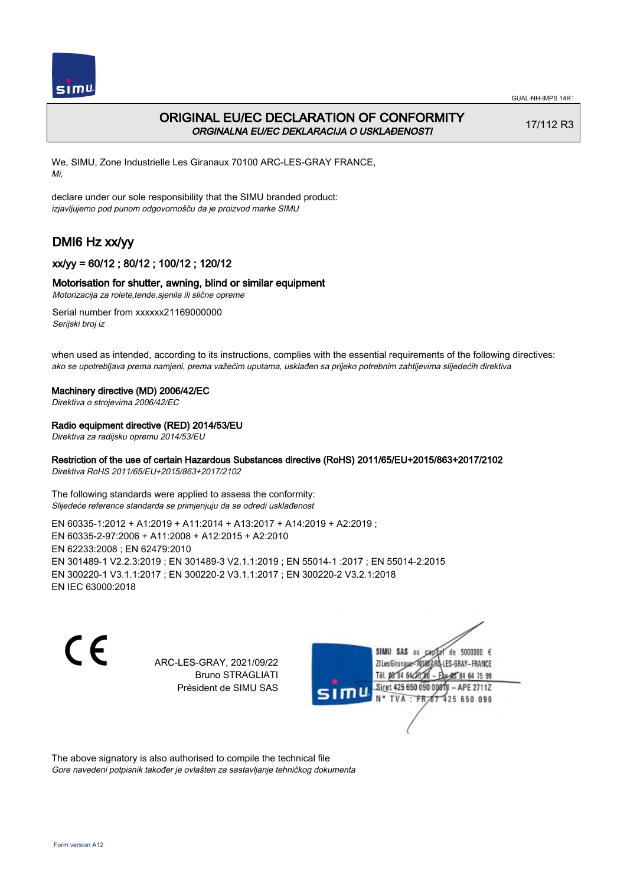

## ORIGINAL EU/EC DECLARATION OF CONFORMITY ORGINALNA EU/EC DEKLARACIJA O USKLAĐENOSTI

17/112 R3

We, SIMU, Zone Industrielle Les Giranaux 70100 ARC-LES-GRAY FRANCE, Mi,

declare under our sole responsibility that the SIMU branded product: izjavljujemo pod punom odgovornošču da je proizvod marke SIMU

# DMI6 Hz xx/yy

## xx/yy = 60/12 ; 80/12 ; 100/12 ; 120/12

### Motorisation for shutter, awning, blind or similar equipment

Motorizacija za rolete,tende,sjenila ili slične opreme

Serial number from xxxxxx21169000000 Serijski broj iz

when used as intended, according to its instructions, complies with the essential requirements of the following directives: ako se upotrebljava prema namjeni, prema važećim uputama, usklađen sa prijeko potrebnim zahtijevima slijedećih direktiva

#### Machinery directive (MD) 2006/42/EC

Direktiva o strojevima 2006/42/EC

#### Radio equipment directive (RED) 2014/53/EU

Direktiva za radijsku opremu 2014/53/EU

### Restriction of the use of certain Hazardous Substances directive (RoHS) 2011/65/EU+2015/863+2017/2102

Direktiva RoHS 2011/65/EU+2015/863+2017/2102

The following standards were applied to assess the conformity: Slijedeće reference standarda se primjenjuju da se odredi usklađenost

EN 60335‑1:2012 + A1:2019 + A11:2014 + A13:2017 + A14:2019 + A2:2019 ; EN 60335‑2‑97:2006 + A11:2008 + A12:2015 + A2:2010 EN 62233:2008 ; EN 62479:2010 EN 301489‑1 V2.2.3:2019 ; EN 301489‑3 V2.1.1:2019 ; EN 55014‑1 :2017 ; EN 55014‑2:2015 EN 300220‑1 V3.1.1:2017 ; EN 300220‑2 V3.1.1:2017 ; EN 300220‑2 V3.2.1:2018 EN IEC 63000:2018

 $\epsilon$ 

ARC-LES-GRAY, 2021/09/22 Bruno STRAGLIATI Président de SIMU SAS



The above signatory is also authorised to compile the technical file Gore navedeni potpisnik također je ovlašten za sastavljanje tehničkog dokumenta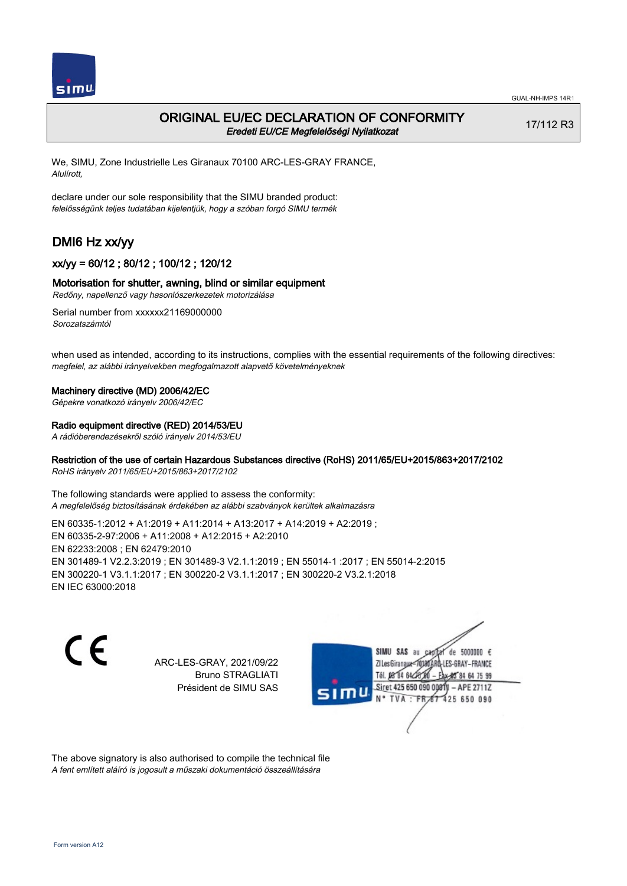

## ORIGINAL EU/EC DECLARATION OF CONFORMITY Eredeti EU/CE Megfelelőségi Nyilatkozat

17/112 R3

We, SIMU, Zone Industrielle Les Giranaux 70100 ARC-LES-GRAY FRANCE, Alulírott,

declare under our sole responsibility that the SIMU branded product: felelősségünk teljes tudatában kijelentjük, hogy a szóban forgó SIMU termék

# DMI6 Hz xx/yy

## xx/yy = 60/12 ; 80/12 ; 100/12 ; 120/12

### Motorisation for shutter, awning, blind or similar equipment

Redőny, napellenző vagy hasonlószerkezetek motorizálása

Serial number from xxxxxx21169000000 Sorozatszámtól

when used as intended, according to its instructions, complies with the essential requirements of the following directives: megfelel, az alábbi irányelvekben megfogalmazott alapvető követelményeknek

#### Machinery directive (MD) 2006/42/EC

Gépekre vonatkozó irányelv 2006/42/EC

#### Radio equipment directive (RED) 2014/53/EU

A rádióberendezésekről szóló irányelv 2014/53/EU

### Restriction of the use of certain Hazardous Substances directive (RoHS) 2011/65/EU+2015/863+2017/2102

RoHS irányelv 2011/65/EU+2015/863+2017/2102

The following standards were applied to assess the conformity: A megfelelőség biztosításának érdekében az alábbi szabványok kerültek alkalmazásra

EN 60335‑1:2012 + A1:2019 + A11:2014 + A13:2017 + A14:2019 + A2:2019 ; EN 60335‑2‑97:2006 + A11:2008 + A12:2015 + A2:2010 EN 62233:2008 ; EN 62479:2010 EN 301489‑1 V2.2.3:2019 ; EN 301489‑3 V2.1.1:2019 ; EN 55014‑1 :2017 ; EN 55014‑2:2015 EN 300220‑1 V3.1.1:2017 ; EN 300220‑2 V3.1.1:2017 ; EN 300220‑2 V3.2.1:2018 EN IEC 63000:2018

C F

ARC-LES-GRAY, 2021/09/22 Bruno STRAGLIATI Président de SIMU SAS



The above signatory is also authorised to compile the technical file A fent említett aláíró is jogosult a műszaki dokumentáció összeállítására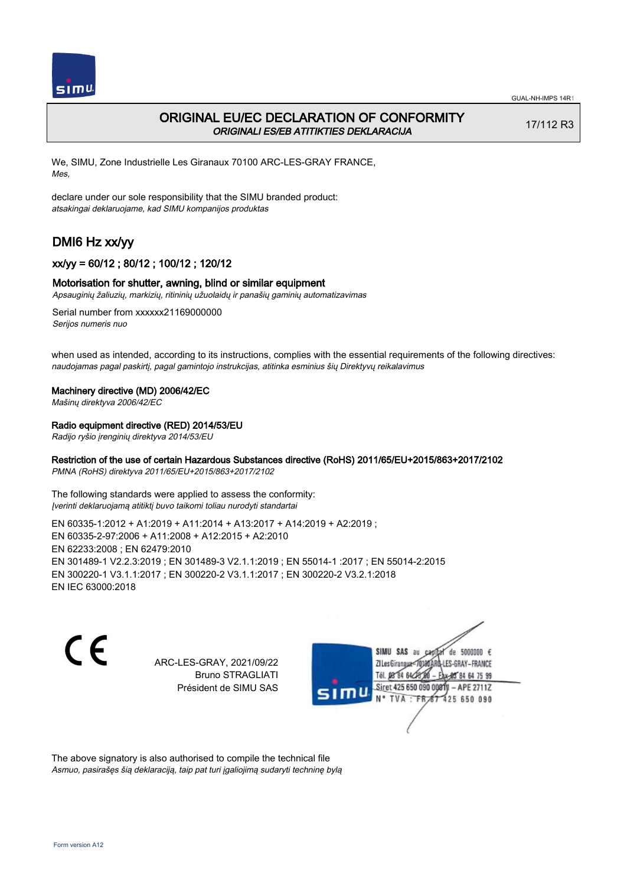

## ORIGINAL EU/EC DECLARATION OF CONFORMITY ORIGINALI ES/EB ATITIKTIES DEKLARACIJA

17/112 R3

We, SIMU, Zone Industrielle Les Giranaux 70100 ARC-LES-GRAY FRANCE, Mes,

declare under our sole responsibility that the SIMU branded product: atsakingai deklaruojame, kad SIMU kompanijos produktas

# DMI6 Hz xx/yy

## xx/yy = 60/12 ; 80/12 ; 100/12 ; 120/12

### Motorisation for shutter, awning, blind or similar equipment

Apsauginių žaliuzių, markizių, ritininių užuolaidų ir panašių gaminių automatizavimas

Serial number from xxxxxx21169000000 Serijos numeris nuo

when used as intended, according to its instructions, complies with the essential requirements of the following directives: naudojamas pagal paskirtį, pagal gamintojo instrukcijas, atitinka esminius šių Direktyvų reikalavimus

#### Machinery directive (MD) 2006/42/EC

Mašinų direktyva 2006/42/EC

### Radio equipment directive (RED) 2014/53/EU

Radijo ryšio įrenginių direktyva 2014/53/EU

## Restriction of the use of certain Hazardous Substances directive (RoHS) 2011/65/EU+2015/863+2017/2102

PMNA (RoHS) direktyva 2011/65/EU+2015/863+2017/2102

The following standards were applied to assess the conformity: Įverinti deklaruojamą atitiktį buvo taikomi toliau nurodyti standartai

EN 60335‑1:2012 + A1:2019 + A11:2014 + A13:2017 + A14:2019 + A2:2019 ; EN 60335‑2‑97:2006 + A11:2008 + A12:2015 + A2:2010 EN 62233:2008 ; EN 62479:2010 EN 301489‑1 V2.2.3:2019 ; EN 301489‑3 V2.1.1:2019 ; EN 55014‑1 :2017 ; EN 55014‑2:2015 EN 300220‑1 V3.1.1:2017 ; EN 300220‑2 V3.1.1:2017 ; EN 300220‑2 V3.2.1:2018 EN IEC 63000:2018

C F

ARC-LES-GRAY, 2021/09/22 Bruno STRAGLIATI Président de SIMU SAS



The above signatory is also authorised to compile the technical file Asmuo, pasirašęs šią deklaraciją, taip pat turi įgaliojimą sudaryti techninę bylą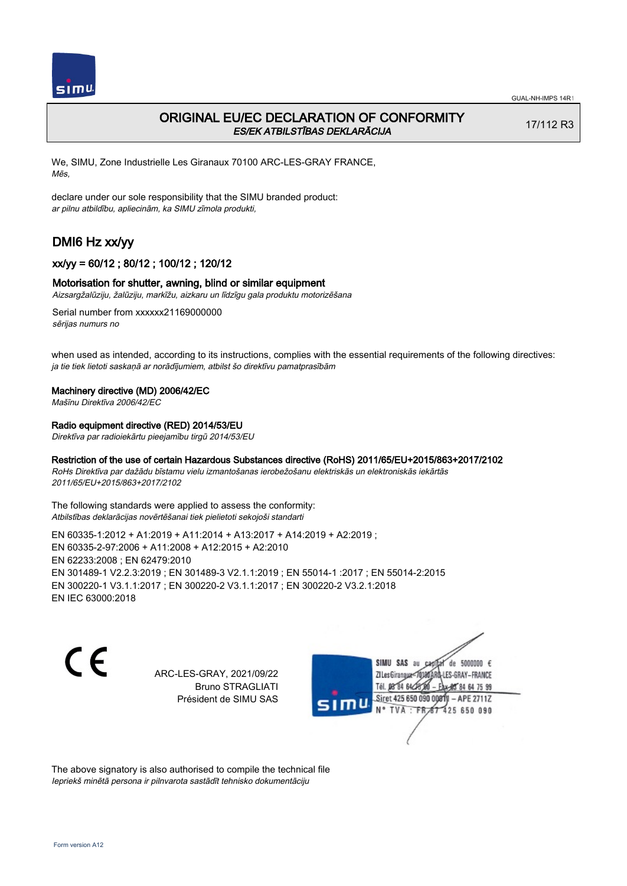

## ORIGINAL EU/EC DECLARATION OF CONFORMITY ES/EK ATBILSTĪBAS DEKLARĀCIJA

17/112 R3

We, SIMU, Zone Industrielle Les Giranaux 70100 ARC-LES-GRAY FRANCE, Mēs,

declare under our sole responsibility that the SIMU branded product: ar pilnu atbildību, apliecinām, ka SIMU zīmola produkti,

# DMI6 Hz xx/yy

## xx/yy = 60/12 ; 80/12 ; 100/12 ; 120/12

### Motorisation for shutter, awning, blind or similar equipment

Aizsargžalūziju, žalūziju, markīžu, aizkaru un līdzīgu gala produktu motorizēšana

Serial number from xxxxxx21169000000 sērijas numurs no

when used as intended, according to its instructions, complies with the essential requirements of the following directives: ja tie tiek lietoti saskaņā ar norādījumiem, atbilst šo direktīvu pamatprasībām

#### Machinery directive (MD) 2006/42/EC

Mašīnu Direktīva 2006/42/EC

### Radio equipment directive (RED) 2014/53/EU

Direktīva par radioiekārtu pieejamību tirgū 2014/53/EU

### Restriction of the use of certain Hazardous Substances directive (RoHS) 2011/65/EU+2015/863+2017/2102

RoHs Direktīva par dažādu bīstamu vielu izmantošanas ierobežošanu elektriskās un elektroniskās iekārtās 2011/65/EU+2015/863+2017/2102

The following standards were applied to assess the conformity: Atbilstības deklarācijas novērtēšanai tiek pielietoti sekojoši standarti

EN 60335‑1:2012 + A1:2019 + A11:2014 + A13:2017 + A14:2019 + A2:2019 ; EN 60335‑2‑97:2006 + A11:2008 + A12:2015 + A2:2010 EN 62233:2008 ; EN 62479:2010 EN 301489‑1 V2.2.3:2019 ; EN 301489‑3 V2.1.1:2019 ; EN 55014‑1 :2017 ; EN 55014‑2:2015 EN 300220‑1 V3.1.1:2017 ; EN 300220‑2 V3.1.1:2017 ; EN 300220‑2 V3.2.1:2018 EN IEC 63000:2018

C E

ARC-LES-GRAY, 2021/09/22 Bruno STRAGLIATI Président de SIMU SAS

SIMU SAS au de 5000000  $\epsilon$ ZI Les Giranaux</r0180 LES-GRAY-FRANCE Tél. 08 84 64 28 64 75 99 Siret 425 650 090 0081) - APE 2711Z  $TVA : FRAT$ 425 650 090

The above signatory is also authorised to compile the technical file Iepriekš minētā persona ir pilnvarota sastādīt tehnisko dokumentāciju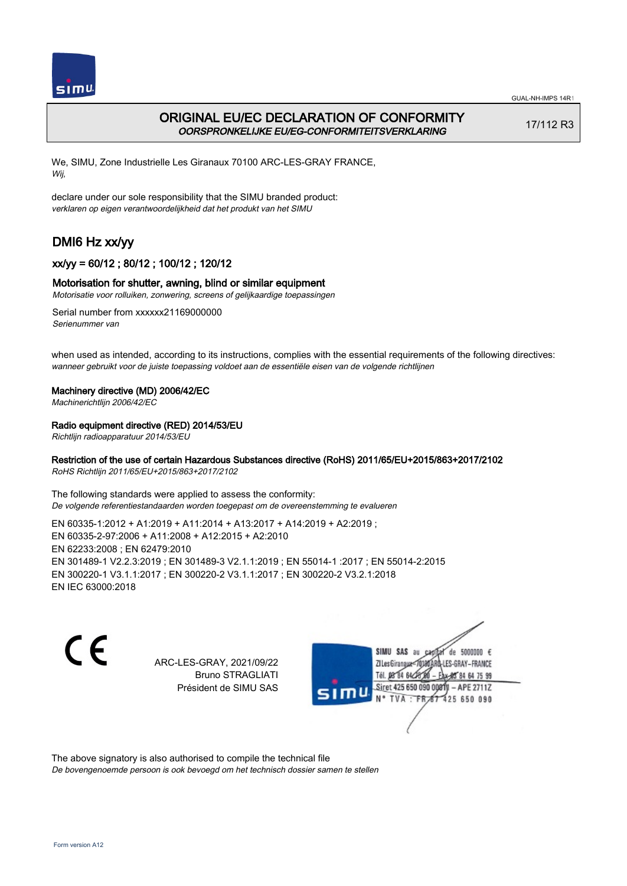

## ORIGINAL EU/EC DECLARATION OF CONFORMITY OORSPRONKELIJKE EU/EG-CONFORMITEITSVERKLARING

17/112 R3

We, SIMU, Zone Industrielle Les Giranaux 70100 ARC-LES-GRAY FRANCE, Wij,

declare under our sole responsibility that the SIMU branded product: verklaren op eigen verantwoordelijkheid dat het produkt van het SIMU

# DMI6 Hz xx/yy

## xx/yy = 60/12 ; 80/12 ; 100/12 ; 120/12

## Motorisation for shutter, awning, blind or similar equipment

Motorisatie voor rolluiken, zonwering, screens of gelijkaardige toepassingen

Serial number from xxxxxx21169000000 Serienummer van

when used as intended, according to its instructions, complies with the essential requirements of the following directives: wanneer gebruikt voor de juiste toepassing voldoet aan de essentiële eisen van de volgende richtlijnen

### Machinery directive (MD) 2006/42/EC

Machinerichtlijn 2006/42/EC

### Radio equipment directive (RED) 2014/53/EU

Richtlijn radioapparatuur 2014/53/EU

### Restriction of the use of certain Hazardous Substances directive (RoHS) 2011/65/EU+2015/863+2017/2102

RoHS Richtlijn 2011/65/EU+2015/863+2017/2102

The following standards were applied to assess the conformity: De volgende referentiestandaarden worden toegepast om de overeenstemming te evalueren

EN 60335‑1:2012 + A1:2019 + A11:2014 + A13:2017 + A14:2019 + A2:2019 ; EN 60335‑2‑97:2006 + A11:2008 + A12:2015 + A2:2010 EN 62233:2008 ; EN 62479:2010 EN 301489‑1 V2.2.3:2019 ; EN 301489‑3 V2.1.1:2019 ; EN 55014‑1 :2017 ; EN 55014‑2:2015 EN 300220‑1 V3.1.1:2017 ; EN 300220‑2 V3.1.1:2017 ; EN 300220‑2 V3.2.1:2018 EN IEC 63000:2018

 $\epsilon$ 

ARC-LES-GRAY, 2021/09/22 Bruno STRAGLIATI Président de SIMU SAS



The above signatory is also authorised to compile the technical file

De bovengenoemde persoon is ook bevoegd om het technisch dossier samen te stellen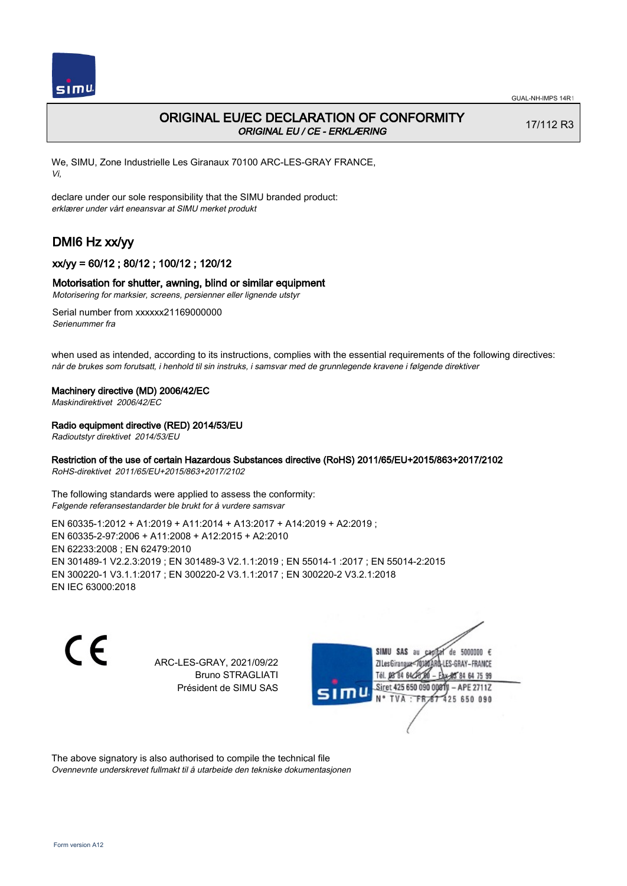

## ORIGINAL EU/EC DECLARATION OF CONFORMITY ORIGINAL EU / CE - ERKLÆRING

17/112 R3

We, SIMU, Zone Industrielle Les Giranaux 70100 ARC-LES-GRAY FRANCE, Vi,

declare under our sole responsibility that the SIMU branded product: erklærer under vårt eneansvar at SIMU merket produkt

# DMI6 Hz xx/yy

## xx/yy = 60/12 ; 80/12 ; 100/12 ; 120/12

### Motorisation for shutter, awning, blind or similar equipment

Motorisering for marksier, screens, persienner eller lignende utstyr

Serial number from xxxxxx21169000000 Serienummer fra

when used as intended, according to its instructions, complies with the essential requirements of the following directives: når de brukes som forutsatt, i henhold til sin instruks, i samsvar med de grunnlegende kravene i følgende direktiver

#### Machinery directive (MD) 2006/42/EC

Maskindirektivet 2006/42/EC

### Radio equipment directive (RED) 2014/53/EU

Radioutstyr direktivet 2014/53/EU

## Restriction of the use of certain Hazardous Substances directive (RoHS) 2011/65/EU+2015/863+2017/2102

RoHS-direktivet 2011/65/EU+2015/863+2017/2102

The following standards were applied to assess the conformity: Følgende referansestandarder ble brukt for å vurdere samsvar

EN 60335‑1:2012 + A1:2019 + A11:2014 + A13:2017 + A14:2019 + A2:2019 ; EN 60335‑2‑97:2006 + A11:2008 + A12:2015 + A2:2010 EN 62233:2008 ; EN 62479:2010 EN 301489‑1 V2.2.3:2019 ; EN 301489‑3 V2.1.1:2019 ; EN 55014‑1 :2017 ; EN 55014‑2:2015 EN 300220‑1 V3.1.1:2017 ; EN 300220‑2 V3.1.1:2017 ; EN 300220‑2 V3.2.1:2018 EN IEC 63000:2018

 $\epsilon$ 

ARC-LES-GRAY, 2021/09/22 Bruno STRAGLIATI Président de SIMU SAS



The above signatory is also authorised to compile the technical file Ovennevnte underskrevet fullmakt til å utarbeide den tekniske dokumentasjonen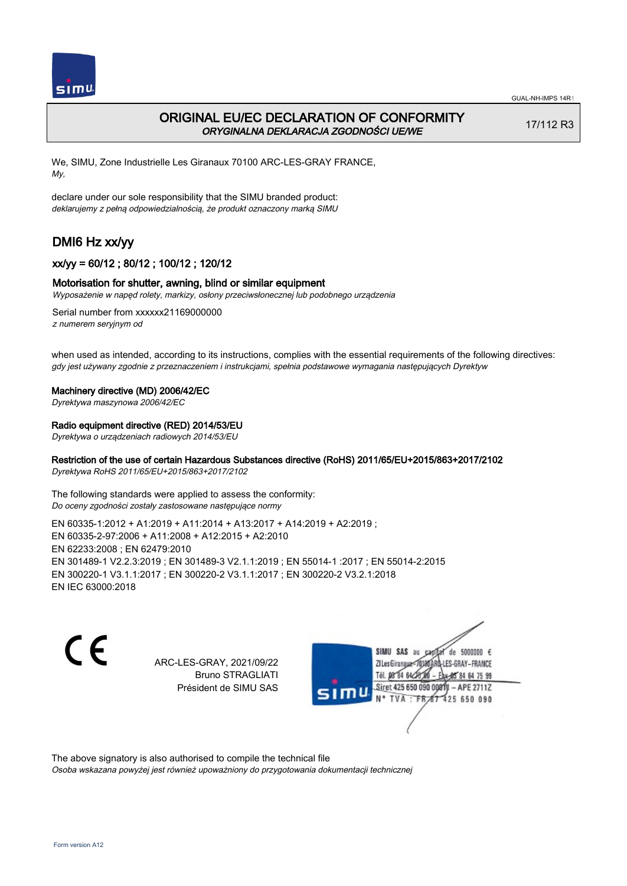

## ORIGINAL EU/EC DECLARATION OF CONFORMITY ORYGINALNA DEKLARACJA ZGODNOŚCI UE/WE

17/112 R3

We, SIMU, Zone Industrielle Les Giranaux 70100 ARC-LES-GRAY FRANCE, My,

declare under our sole responsibility that the SIMU branded product: deklarujemy z pełną odpowiedzialnością, że produkt oznaczony marką SIMU

# DMI6 Hz xx/yy

## xx/yy = 60/12 ; 80/12 ; 100/12 ; 120/12

### Motorisation for shutter, awning, blind or similar equipment

Wyposażenie w napęd rolety, markizy, osłony przeciwsłonecznej lub podobnego urządzenia

Serial number from xxxxxx21169000000 z numerem seryjnym od

when used as intended, according to its instructions, complies with the essential requirements of the following directives: gdy jest używany zgodnie z przeznaczeniem i instrukcjami, spełnia podstawowe wymagania następujących Dyrektyw

#### Machinery directive (MD) 2006/42/EC

Dyrektywa maszynowa 2006/42/EC

#### Radio equipment directive (RED) 2014/53/EU

Dyrektywa o urządzeniach radiowych 2014/53/EU

## Restriction of the use of certain Hazardous Substances directive (RoHS) 2011/65/EU+2015/863+2017/2102

Dyrektywa RoHS 2011/65/EU+2015/863+2017/2102

The following standards were applied to assess the conformity: Do oceny zgodności zostały zastosowane następujące normy

EN 60335‑1:2012 + A1:2019 + A11:2014 + A13:2017 + A14:2019 + A2:2019 ; EN 60335‑2‑97:2006 + A11:2008 + A12:2015 + A2:2010 EN 62233:2008 ; EN 62479:2010 EN 301489‑1 V2.2.3:2019 ; EN 301489‑3 V2.1.1:2019 ; EN 55014‑1 :2017 ; EN 55014‑2:2015 EN 300220‑1 V3.1.1:2017 ; EN 300220‑2 V3.1.1:2017 ; EN 300220‑2 V3.2.1:2018 EN IEC 63000:2018

C F

ARC-LES-GRAY, 2021/09/22 Bruno STRAGLIATI Président de SIMU SAS



The above signatory is also authorised to compile the technical file

Osoba wskazana powyżej jest również upoważniony do przygotowania dokumentacji technicznej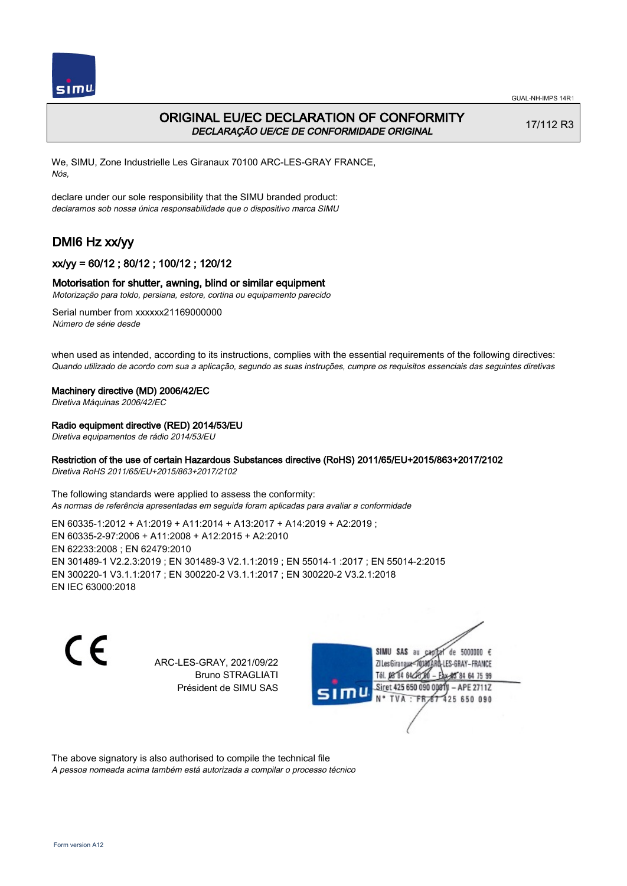

## ORIGINAL EU/EC DECLARATION OF CONFORMITY DECLARAÇÃO UE/CE DE CONFORMIDADE ORIGINAL

17/112 R3

We, SIMU, Zone Industrielle Les Giranaux 70100 ARC-LES-GRAY FRANCE, Nós,

declare under our sole responsibility that the SIMU branded product: declaramos sob nossa única responsabilidade que o dispositivo marca SIMU

# DMI6 Hz xx/yy

## xx/yy = 60/12 ; 80/12 ; 100/12 ; 120/12

### Motorisation for shutter, awning, blind or similar equipment

Motorização para toldo, persiana, estore, cortina ou equipamento parecido

Serial number from xxxxxx21169000000 Número de série desde

when used as intended, according to its instructions, complies with the essential requirements of the following directives: Quando utilizado de acordo com sua a aplicação, segundo as suas instruções, cumpre os requisitos essenciais das seguintes diretivas

#### Machinery directive (MD) 2006/42/EC

Diretiva Máquinas 2006/42/EC

### Radio equipment directive (RED) 2014/53/EU

Diretiva equipamentos de rádio 2014/53/EU

### Restriction of the use of certain Hazardous Substances directive (RoHS) 2011/65/EU+2015/863+2017/2102

Diretiva RoHS 2011/65/EU+2015/863+2017/2102

The following standards were applied to assess the conformity: As normas de referência apresentadas em seguida foram aplicadas para avaliar a conformidade

EN 60335‑1:2012 + A1:2019 + A11:2014 + A13:2017 + A14:2019 + A2:2019 ; EN 60335‑2‑97:2006 + A11:2008 + A12:2015 + A2:2010 EN 62233:2008 ; EN 62479:2010 EN 301489‑1 V2.2.3:2019 ; EN 301489‑3 V2.1.1:2019 ; EN 55014‑1 :2017 ; EN 55014‑2:2015 EN 300220‑1 V3.1.1:2017 ; EN 300220‑2 V3.1.1:2017 ; EN 300220‑2 V3.2.1:2018 EN IEC 63000:2018

 $\epsilon$ 

ARC-LES-GRAY, 2021/09/22 Bruno STRAGLIATI Président de SIMU SAS



The above signatory is also authorised to compile the technical file

A pessoa nomeada acima também está autorizada a compilar o processo técnico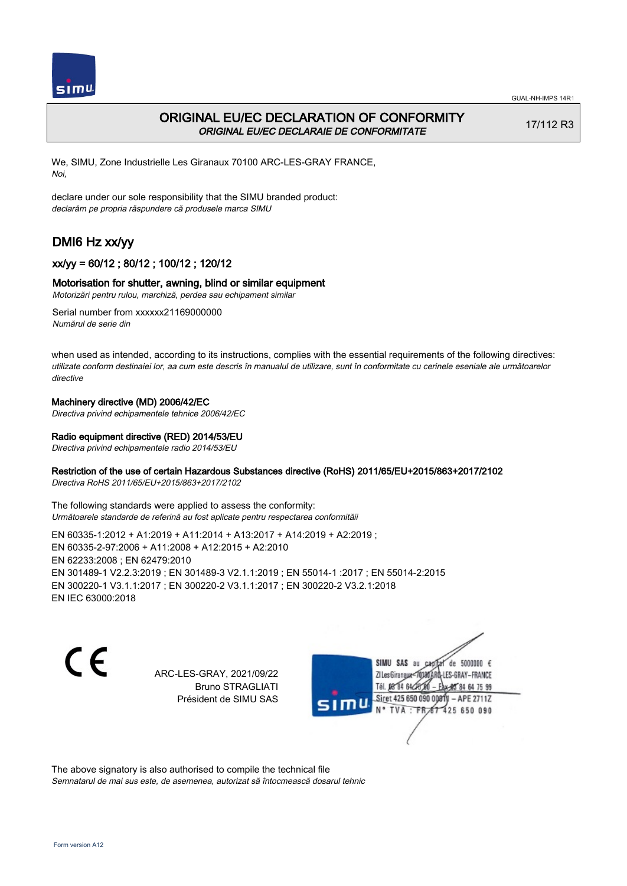

## ORIGINAL EU/EC DECLARATION OF CONFORMITY ORIGINAL EU/EC DECLARAIE DE CONFORMITATE

17/112 R3

We, SIMU, Zone Industrielle Les Giranaux 70100 ARC-LES-GRAY FRANCE, Noi,

declare under our sole responsibility that the SIMU branded product: declarăm pe propria răspundere că produsele marca SIMU

# DMI6 Hz xx/yy

## xx/yy = 60/12 ; 80/12 ; 100/12 ; 120/12

## Motorisation for shutter, awning, blind or similar equipment

Motorizări pentru rulou, marchiză, perdea sau echipament similar

Serial number from xxxxxx21169000000 Numărul de serie din

when used as intended, according to its instructions, complies with the essential requirements of the following directives: utilizate conform destinaiei lor, aa cum este descris în manualul de utilizare, sunt în conformitate cu cerinele eseniale ale următoarelor directive

## Machinery directive (MD) 2006/42/EC

Directiva privind echipamentele tehnice 2006/42/EC

## Radio equipment directive (RED) 2014/53/EU

Directiva privind echipamentele radio 2014/53/EU

### Restriction of the use of certain Hazardous Substances directive (RoHS) 2011/65/EU+2015/863+2017/2102

Directiva RoHS 2011/65/EU+2015/863+2017/2102

The following standards were applied to assess the conformity: Următoarele standarde de referină au fost aplicate pentru respectarea conformităii

EN 60335‑1:2012 + A1:2019 + A11:2014 + A13:2017 + A14:2019 + A2:2019 ; EN 60335‑2‑97:2006 + A11:2008 + A12:2015 + A2:2010 EN 62233:2008 ; EN 62479:2010 EN 301489‑1 V2.2.3:2019 ; EN 301489‑3 V2.1.1:2019 ; EN 55014‑1 :2017 ; EN 55014‑2:2015 EN 300220‑1 V3.1.1:2017 ; EN 300220‑2 V3.1.1:2017 ; EN 300220‑2 V3.2.1:2018 EN IEC 63000:2018

C E

ARC-LES-GRAY, 2021/09/22 Bruno STRAGLIATI Président de SIMU SAS

de 5000000  $\epsilon$ SIMU SAS au ZI Les Giranaux-70180 LES-GRAY-FRANCE Tél. 08 84 64 24 64 75 99 Siret 425 650 090 0081) - APE 2711Z 425 650 090 TVA: FR

The above signatory is also authorised to compile the technical file Semnatarul de mai sus este, de asemenea, autorizat să întocmească dosarul tehnic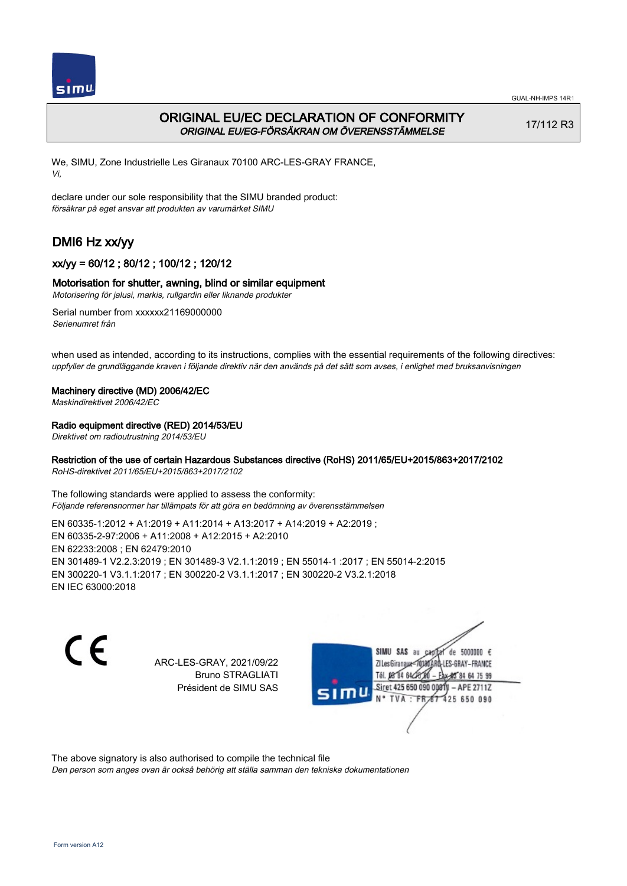

## ORIGINAL EU/EC DECLARATION OF CONFORMITY ORIGINAL EU/EG-FÖRSÄKRAN OM ÖVERENSSTÄMMELSE

17/112 R3

We, SIMU, Zone Industrielle Les Giranaux 70100 ARC-LES-GRAY FRANCE, Vi,

declare under our sole responsibility that the SIMU branded product: försäkrar på eget ansvar att produkten av varumärket SIMU

# DMI6 Hz xx/yy

## xx/yy = 60/12 ; 80/12 ; 100/12 ; 120/12

## Motorisation for shutter, awning, blind or similar equipment

Motorisering för jalusi, markis, rullgardin eller liknande produkter

Serial number from xxxxxx21169000000 Serienumret från

when used as intended, according to its instructions, complies with the essential requirements of the following directives: uppfyller de grundläggande kraven i följande direktiv när den används på det sätt som avses, i enlighet med bruksanvisningen

### Machinery directive (MD) 2006/42/EC

Maskindirektivet 2006/42/EC

### Radio equipment directive (RED) 2014/53/EU

Direktivet om radioutrustning 2014/53/EU

### Restriction of the use of certain Hazardous Substances directive (RoHS) 2011/65/EU+2015/863+2017/2102

RoHS-direktivet 2011/65/EU+2015/863+2017/2102

The following standards were applied to assess the conformity: Följande referensnormer har tillämpats för att göra en bedömning av överensstämmelsen

EN 60335‑1:2012 + A1:2019 + A11:2014 + A13:2017 + A14:2019 + A2:2019 ; EN 60335‑2‑97:2006 + A11:2008 + A12:2015 + A2:2010 EN 62233:2008 ; EN 62479:2010 EN 301489‑1 V2.2.3:2019 ; EN 301489‑3 V2.1.1:2019 ; EN 55014‑1 :2017 ; EN 55014‑2:2015 EN 300220‑1 V3.1.1:2017 ; EN 300220‑2 V3.1.1:2017 ; EN 300220‑2 V3.2.1:2018 EN IEC 63000:2018

 $\epsilon$ 

ARC-LES-GRAY, 2021/09/22 Bruno STRAGLIATI Président de SIMU SAS



The above signatory is also authorised to compile the technical file

Den person som anges ovan är också behörig att ställa samman den tekniska dokumentationen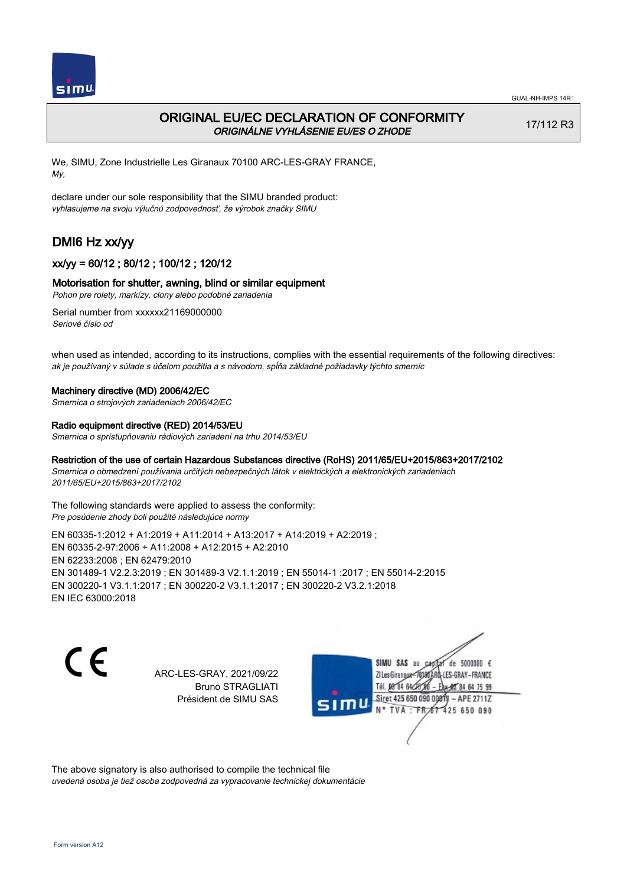

## ORIGINAL EU/EC DECLARATION OF CONFORMITY ORIGINÁLNE VYHLÁSENIE EU/ES O ZHODE

17/112 R3

We, SIMU, Zone Industrielle Les Giranaux 70100 ARC-LES-GRAY FRANCE, My,

declare under our sole responsibility that the SIMU branded product: vyhlasujeme na svoju výlučnú zodpovednosť, že výrobok značky SIMU

# DMI6 Hz xx/yy

## xx/yy = 60/12 ; 80/12 ; 100/12 ; 120/12

### Motorisation for shutter, awning, blind or similar equipment

Pohon pre rolety, markízy, clony alebo podobné zariadenia

Serial number from xxxxxx21169000000 Seriové číslo od

when used as intended, according to its instructions, complies with the essential requirements of the following directives: ak je používaný v súlade s účelom použitia a s návodom, spĺňa základné požiadavky týchto smerníc

### Machinery directive (MD) 2006/42/EC

Smernica o strojových zariadeniach 2006/42/EC

#### Radio equipment directive (RED) 2014/53/EU

Smernica o sprístupňovaniu rádiových zariadení na trhu 2014/53/EU

### Restriction of the use of certain Hazardous Substances directive (RoHS) 2011/65/EU+2015/863+2017/2102

Smernica o obmedzení používania určitých nebezpečných látok v elektrických a elektronických zariadeniach 2011/65/EU+2015/863+2017/2102

The following standards were applied to assess the conformity: Pre posúdenie zhody boli použité následujúce normy

EN 60335‑1:2012 + A1:2019 + A11:2014 + A13:2017 + A14:2019 + A2:2019 ; EN 60335‑2‑97:2006 + A11:2008 + A12:2015 + A2:2010 EN 62233:2008 ; EN 62479:2010 EN 301489‑1 V2.2.3:2019 ; EN 301489‑3 V2.1.1:2019 ; EN 55014‑1 :2017 ; EN 55014‑2:2015 EN 300220‑1 V3.1.1:2017 ; EN 300220‑2 V3.1.1:2017 ; EN 300220‑2 V3.2.1:2018 EN IEC 63000:2018

C E

ARC-LES-GRAY, 2021/09/22 Bruno STRAGLIATI Président de SIMU SAS

SIMU SAS au de 5000000  $\epsilon$ ZI Les Giranaux</r0180 LES-GRAY-FRANCE Tél. 08 84 64 24 64 75 99 Siret 425 650 090 008TV - APE 2711Z 425 650 090 TVA : FRAT

The above signatory is also authorised to compile the technical file uvedená osoba je tiež osoba zodpovedná za vypracovanie technickej dokumentácie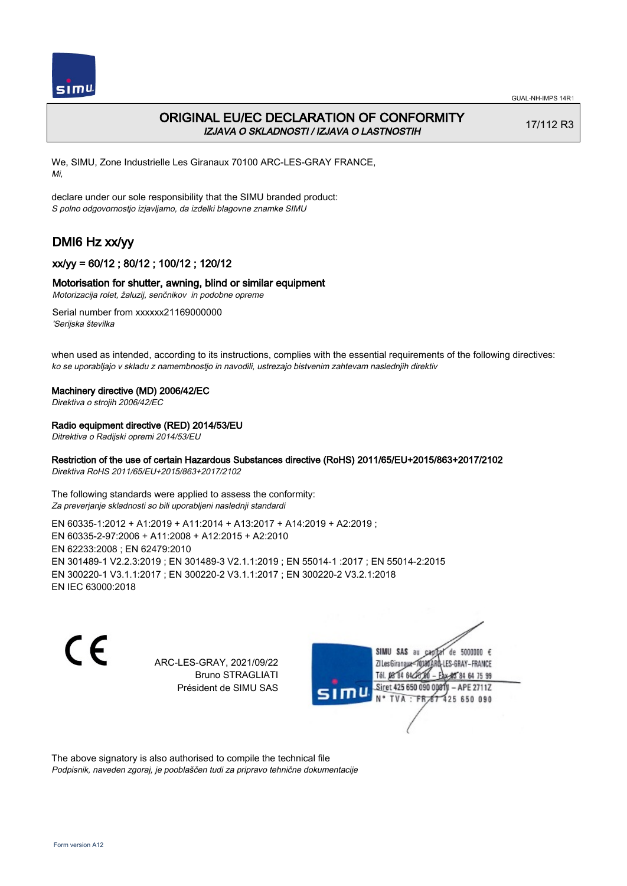

## ORIGINAL EU/EC DECLARATION OF CONFORMITY IZJAVA O SKLADNOSTI / IZJAVA O LASTNOSTIH

17/112 R3

We, SIMU, Zone Industrielle Les Giranaux 70100 ARC-LES-GRAY FRANCE, Mi,

declare under our sole responsibility that the SIMU branded product: S polno odgovornostjo izjavljamo, da izdelki blagovne znamke SIMU

# DMI6 Hz xx/yy

## xx/yy = 60/12 ; 80/12 ; 100/12 ; 120/12

### Motorisation for shutter, awning, blind or similar equipment

Motorizacija rolet, žaluzij, senčnikov in podobne opreme

Serial number from xxxxxx21169000000 'Serijska številka

when used as intended, according to its instructions, complies with the essential requirements of the following directives: ko se uporabljajo v skladu z namembnostjo in navodili, ustrezajo bistvenim zahtevam naslednjih direktiv

#### Machinery directive (MD) 2006/42/EC

Direktiva o strojih 2006/42/EC

### Radio equipment directive (RED) 2014/53/EU

Ditrektiva o Radijski opremi 2014/53/EU

## Restriction of the use of certain Hazardous Substances directive (RoHS) 2011/65/EU+2015/863+2017/2102

Direktiva RoHS 2011/65/EU+2015/863+2017/2102

The following standards were applied to assess the conformity: Za preverjanje skladnosti so bili uporabljeni naslednji standardi

EN 60335‑1:2012 + A1:2019 + A11:2014 + A13:2017 + A14:2019 + A2:2019 ; EN 60335‑2‑97:2006 + A11:2008 + A12:2015 + A2:2010 EN 62233:2008 ; EN 62479:2010 EN 301489‑1 V2.2.3:2019 ; EN 301489‑3 V2.1.1:2019 ; EN 55014‑1 :2017 ; EN 55014‑2:2015 EN 300220‑1 V3.1.1:2017 ; EN 300220‑2 V3.1.1:2017 ; EN 300220‑2 V3.2.1:2018 EN IEC 63000:2018

 $\epsilon$ 

ARC-LES-GRAY, 2021/09/22 Bruno STRAGLIATI Président de SIMU SAS



The above signatory is also authorised to compile the technical file Podpisnik, naveden zgoraj, je pooblaščen tudi za pripravo tehnične dokumentacije